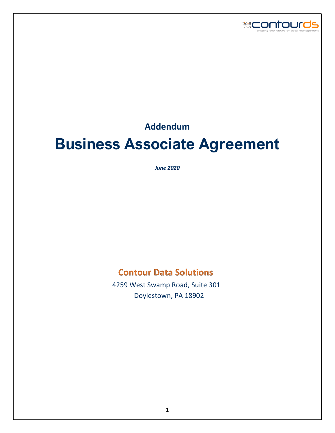

**Addendum**

# **Business Associate Agreement**

*June 2020*

# **Contour Data Solutions**

 4259 West Swamp Road, Suite 301 Doylestown, PA 18902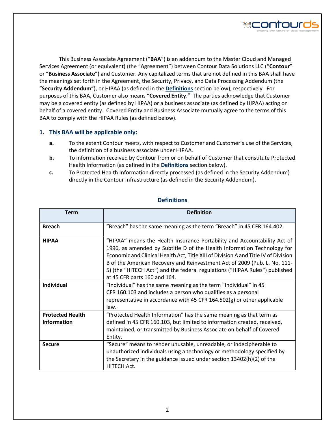

This Business Associate Agreement ("**BAA**") is an addendum to the Master Cloud and Managed Services Agreement (or equivalent) (the "**Agreement**") between Contour Data Solutions LLC ("**Contour**" or "**Business Associate**") and Customer. Any capitalized terms that are not defined in this BAA shall have the meanings set forth in the Agreement, the Security, Privacy, and Data Processing Addendum (the "**Security Addendum**"), or HIPAA (as defined in the **Definitions** section below), respectively. For purposes of this BAA, Customer also means "**Covered Entity**." The parties acknowledge that Customer may be a covered entity (as defined by HIPAA) or a business associate (as defined by HIPAA) acting on behalf of a covered entity. Covered Entity and Business Associate mutually agree to the terms of this BAA to comply with the HIPAA Rules (as defined below).

#### **1. This BAA will be applicable only:**

- **a.** To the extent Contour meets, with respect to Customer and Customer's use of the Services, the definition of a business associate under HIPAA.
- **b.** To information received by Contour from or on behalf of Customer that constitute Protected Health Information (as defined in the **Definitions** section below).
- **c.** To Protected Health Information directly processed (as defined in the Security Addendum) directly in the Contour Infrastructure (as defined in the Security Addendum).

| Term                                          | <b>Definition</b>                                                                                                                                                                                                                                                                                                                                                                                                                      |  |  |  |  |
|-----------------------------------------------|----------------------------------------------------------------------------------------------------------------------------------------------------------------------------------------------------------------------------------------------------------------------------------------------------------------------------------------------------------------------------------------------------------------------------------------|--|--|--|--|
| <b>Breach</b>                                 | "Breach" has the same meaning as the term "Breach" in 45 CFR 164.402.                                                                                                                                                                                                                                                                                                                                                                  |  |  |  |  |
| <b>HIPAA</b>                                  | "HIPAA" means the Health Insurance Portability and Accountability Act of<br>1996, as amended by Subtitle D of the Health Information Technology for<br>Economic and Clinical Health Act, Title XIII of Division A and Title IV of Division<br>B of the American Recovery and Reinvestment Act of 2009 (Pub. L. No. 111-<br>5) (the "HITECH Act") and the federal regulations ("HIPAA Rules") published<br>at 45 CFR parts 160 and 164. |  |  |  |  |
| <b>Individual</b>                             | "Individual" has the same meaning as the term "Individual" in 45<br>CFR 160.103 and includes a person who qualifies as a personal<br>representative in accordance with 45 CFR 164.502(g) or other applicable<br>law.                                                                                                                                                                                                                   |  |  |  |  |
| <b>Protected Health</b><br><b>Information</b> | "Protected Health Information" has the same meaning as that term as<br>defined in 45 CFR 160.103, but limited to information created, received,<br>maintained, or transmitted by Business Associate on behalf of Covered<br>Entity.                                                                                                                                                                                                    |  |  |  |  |
| <b>Secure</b>                                 | "Secure" means to render unusable, unreadable, or indecipherable to<br>unauthorized individuals using a technology or methodology specified by<br>the Secretary in the guidance issued under section 13402(h)(2) of the<br>HITECH Act.                                                                                                                                                                                                 |  |  |  |  |

#### **Definitions**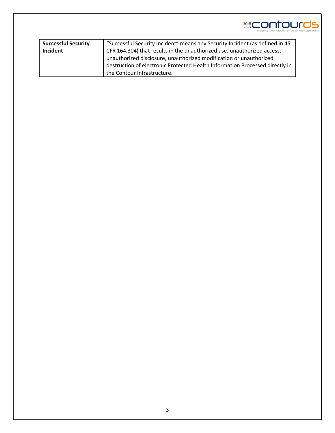

| <b>Successful Security</b> | "Successful Security Incident" means any Security Incident (as defined in 45 |  |  |  |
|----------------------------|------------------------------------------------------------------------------|--|--|--|
| Incident                   | CFR 164.304) that results in the unauthorized use, unauthorized access,      |  |  |  |
|                            | unauthorized disclosure, unauthorized modification or unauthorized           |  |  |  |
|                            | destruction of electronic Protected Health Information Processed directly in |  |  |  |
|                            | the Contour Infrastructure.                                                  |  |  |  |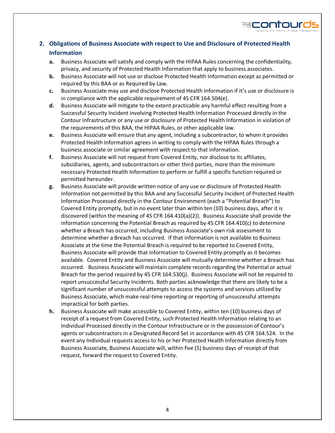

## **2. Obligations of Business Associate with respect to Use and Disclosure of Protected Health Information**

- **a.** Business Associate will satisfy and comply with the HIPAA Rules concerning the confidentiality, privacy, and security of Protected Health Information that apply to business associates.
- **b.** Business Associate will not use or disclose Protected Health Information except as permitted or required by this BAA or as Required by Law.
- **c.** Business Associate may use and disclose Protected Health Information if it's use or disclosure is in compliance with the applicable requirement of 45 CFR 164.504(e).
- **d.** Business Associate will mitigate to the extent practicable any harmful effect resulting from a Successful Security Incident involving Protected Health Information Processed directly in the Contour Infrastructure or any use or disclosure of Protected Health Information in violation of the requirements of this BAA, the HIPAA Rules, or other applicable law.
- **e.** Business Associate will ensure that any agent, including a subcontractor, to whom it provides Protected Health Information agrees in writing to comply with the HIPAA Rules through a business associate or similar agreement with respect to that information.
- **f.** Business Associate will not request from Covered Entity, nor disclose to its affiliates, subsidiaries, agents, and subcontractors or other third parties, more than the minimum necessary Protected Health Information to perform or fulfill a specific function required or permitted hereunder.
- **g.** Business Associate will provide written notice of any use or disclosure of Protected Health Information not permitted by this BAA and any Successful Security Incident of Protected Health Information Processed directly in the Contour Environment (each a "Potential Breach") to Covered Entity promptly, but in no event later than within ten (10) business days, after it is discovered (within the meaning of 45 CFR 164.410(a)(2)). Business Associate shall provide the information concerning the Potential Breach as required by 45 CFR 164.410(c) to determine whether a Breach has occurred, including Business Associate's own risk assessment to determine whether a Breach has occurred. If that information is not available to Business Associate at the time the Potential Breach is required to be reported to Covered Entity, Business Associate will provide that information to Covered Entity promptly as it becomes available. Covered Entity and Business Associate will mutually determine whether a Breach has occurred. Business Associate will maintain complete records regarding the Potential or actual Breach for the period required by 45 CFR 164.530(j). Business Associate will not be required to report unsuccessful Security Incidents. Both parties acknowledge that there are likely to be a significant number of unsuccessful attempts to access the systems and services utilized by Business Associate, which make real-time reporting or reporting of unsuccessful attempts impractical for both parties.
- **h.** Business Associate will make accessible to Covered Entity, within ten (10) business days of receipt of a request from Covered Entity, such Protected Health Information relating to an Individual Processed directly in the Contour Infrastructure or in the possession of Contour's agents or subcontractors in a Designated Record Set in accordance with 45 CFR 164.524. In the event any Individual requests access to his or her Protected Health Information directly from Business Associate, Business Associate will, within five (5) business days of receipt of that request, forward the request to Covered Entity.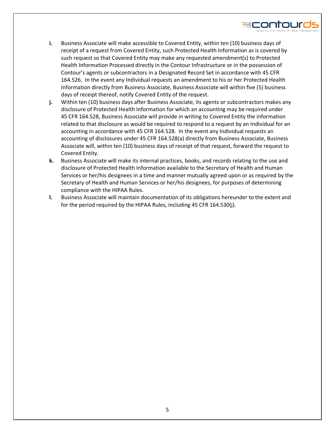

- **i.** Business Associate will make accessible to Covered Entity, within ten (10) business days of receipt of a request from Covered Entity, such Protected Health Information as is covered by such request so that Covered Entity may make any requested amendment(s) to Protected Health Information Processed directly in the Contour Infrastructure or in the possession of Contour's agents or subcontractors in a Designated Record Set in accordance with 45 CFR 164.526. In the event any Individual requests an amendment to his or her Protected Health Information directly from Business Associate, Business Associate will within five (5) business days of receipt thereof, notify Covered Entity of the request.
- **j.** Within ten (10) business days after Business Associate, its agents or subcontractors makes any disclosure of Protected Health Information for which an accounting may be required under 45 CFR 164.528, Business Associate will provide in writing to Covered Entity the information related to that disclosure as would be required to respond to a request by an Individual for an accounting in accordance with 45 CFR 164.528. In the event any Individual requests an accounting of disclosures under 45 CFR 164.528(a) directly from Business Associate, Business Associate will, within ten (10) business days of receipt of that request, forward the request to Covered Entity.
- **k.** Business Associate will make its internal practices, books, and records relating to the use and disclosure of Protected Health Information available to the Secretary of Health and Human Services or her/his designees in a time and manner mutually agreed upon or as required by the Secretary of Health and Human Services or her/his designees, for purposes of determining compliance with the HIPAA Rules.
- **l.** Business Associate will maintain documentation of its obligations hereunder to the extent and for the period required by the HIPAA Rules, including 45 CFR 164.530(j).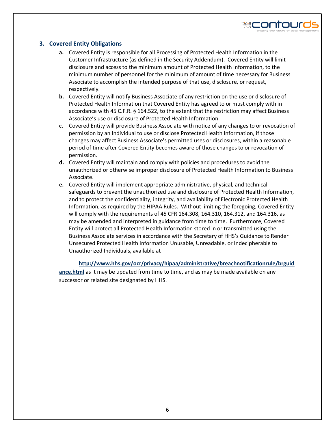

#### **3. Covered Entity Obligations**

- **a.** Covered Entity is responsible for all Processing of Protected Health Information in the Customer Infrastructure (as defined in the Security Addendum). Covered Entity will limit disclosure and access to the minimum amount of Protected Health Information, to the minimum number of personnel for the minimum of amount of time necessary for Business Associate to accomplish the intended purpose of that use, disclosure, or request, respectively.
- **b.** Covered Entity will notify Business Associate of any restriction on the use or disclosure of Protected Health Information that Covered Entity has agreed to or must comply with in accordance with 45 C.F.R. § 164.522, to the extent that the restriction may affect Business Associate's use or disclosure of Protected Health Information.
- **c.** Covered Entity will provide Business Associate with notice of any changes to or revocation of permission by an Individual to use or disclose Protected Health Information, if those changes may affect Business Associate's permitted uses or disclosures, within a reasonable period of time after Covered Entity becomes aware of those changes to or revocation of permission.
- **d.** Covered Entity will maintain and comply with policies and procedures to avoid the unauthorized or otherwise improper disclosure of Protected Health Information to Business Associate.
- **e.** Covered Entity will implement appropriate administrative, physical, and technical safeguards to prevent the unauthorized use and disclosure of Protected Health Information, and to protect the confidentiality, integrity, and availability of Electronic Protected Health Information, as required by the HIPAA Rules. Without limiting the foregoing, Covered Entity will comply with the requirements of 45 CFR 164.308, 164.310, 164.312, and 164.316, as may be amended and interpreted in guidance from time to time. Furthermore, Covered Entity will protect all Protected Health Information stored in or transmitted using the Business Associate services in accordance with the Secretary of HHS's Guidance to Render Unsecured Protected Health Information Unusable, Unreadable, or Indecipherable to Unauthorized Individuals, available at

**[http://www.hhs.gov/ocr/privacy/hipaa/administrative/breachnotificationrule/brguid](http://www.hhs.gov/ocr/privacy/hipaa/administrative/breachnotificationrule/brguidance.html) [ance.html](http://www.hhs.gov/ocr/privacy/hipaa/administrative/breachnotificationrule/brguidance.html)** as it may be updated from time to time, and as may be made available on any successor or related site designated by HHS.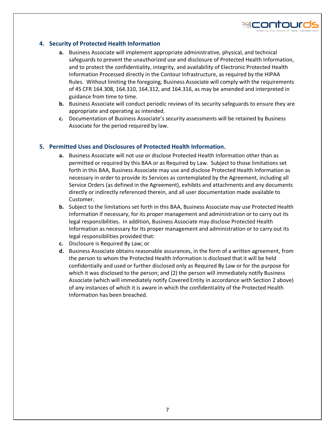

#### **4. Security of Protected Health Information**

- **a.** Business Associate will implement appropriate administrative, physical, and technical safeguards to prevent the unauthorized use and disclosure of Protected Health Information, and to protect the confidentiality, integrity, and availability of Electronic Protected Health Information Processed directly in the Contour Infrastructure, as required by the HIPAA Rules. Without limiting the foregoing, Business Associate will comply with the requirements of 45 CFR 164.308, 164.310, 164.312, and 164.316, as may be amended and interpreted in guidance from time to time.
- **b.** Business Associate will conduct periodic reviews of its security safeguards to ensure they are appropriate and operating as intended.
- **c.** Documentation of Business Associate's security assessments will be retained by Business Associate for the period required by law.

#### **5. Permitted Uses and Disclosures of Protected Health Information.**

- **a.** Business Associate will not use or disclose Protected Health Information other than as permitted or required by this BAA or as Required by Law. Subject to those limitations set forth in this BAA, Business Associate may use and disclose Protected Health Information as necessary in order to provide its Services as contemplated by the Agreement, including all Service Orders (as defined in the Agreement), exhibits and attachments and any documents directly or indirectly referenced therein, and all user documentation made available to Customer.
- **b.** Subject to the limitations set forth in this BAA, Business Associate may use Protected Health Information if necessary, for its proper management and administration or to carry out its legal responsibilities. In addition, Business Associate may disclose Protected Health Information as necessary for its proper management and administration or to carry out its legal responsibilities provided that:
- **c.** Disclosure is Required By Law; or
- **d.** Business Associate obtains reasonable assurances, in the form of a written agreement, from the person to whom the Protected Health Information is disclosed that it will be held confidentially and used or further disclosed only as Required By Law or for the purpose for which it was disclosed to the person; and (2) the person will immediately notify Business Associate (which will immediately notify Covered Entity in accordance with Section 2 above) of any instances of which it is aware in which the confidentiality of the Protected Health Information has been breached.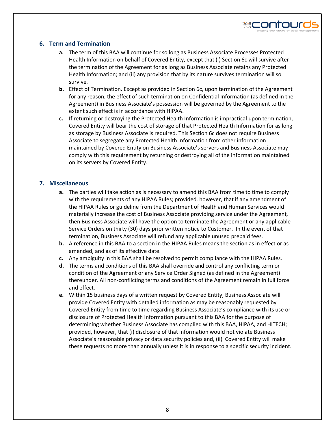

#### **6. Term and Termination**

- **a.** The term of this BAA will continue for so long as Business Associate Processes Protected Health Information on behalf of Covered Entity, except that (i) Section 6c will survive after the termination of the Agreement for as long as Business Associate retains any Protected Health Information; and (ii) any provision that by its nature survives termination will so survive.
- **b.** Effect of Termination. Except as provided in Section 6c, upon termination of the Agreement for any reason, the effect of such termination on Confidential Information (as defined in the Agreement) in Business Associate's possession will be governed by the Agreement to the extent such effect is in accordance with HIPAA.
- **c.** If returning or destroying the Protected Health Information is impractical upon termination, Covered Entity will bear the cost of storage of that Protected Health Information for as long as storage by Business Associate is required. This Section 6c does not require Business Associate to segregate any Protected Health Information from other information maintained by Covered Entity on Business Associate's servers and Business Associate may comply with this requirement by returning or destroying all of the information maintained on its servers by Covered Entity.

#### **7. Miscellaneous**

- **a.** The parties will take action as is necessary to amend this BAA from time to time to comply with the requirements of any HIPAA Rules; provided, however, that if any amendment of the HIPAA Rules or guideline from the Department of Health and Human Services would materially increase the cost of Business Associate providing service under the Agreement, then Business Associate will have the option to terminate the Agreement or any applicable Service Orders on thirty (30) days prior written notice to Customer. In the event of that termination, Business Associate will refund any applicable unused prepaid fees.
- **b.** A reference in this BAA to a section in the HIPAA Rules means the section as in effect or as amended, and as of its effective date.
- **c.** Any ambiguity in this BAA shall be resolved to permit compliance with the HIPAA Rules.
- **d.** The terms and conditions of this BAA shall override and control any conflicting term or condition of the Agreement or any Service Order Signed (as defined in the Agreement) thereunder. All non-conflicting terms and conditions of the Agreement remain in full force and effect.
- **e.** Within 15 business days of a written request by Covered Entity, Business Associate will provide Covered Entity with detailed information as may be reasonably requested by Covered Entity from time to time regarding Business Associate's compliance with its use or disclosure of Protected Health Information pursuant to this BAA for the purpose of determining whether Business Associate has complied with this BAA, HIPAA, and HITECH; provided, however, that (i) disclosure of that information would not violate Business Associate's reasonable privacy or data security policies and, (ii) Covered Entity will make these requests no more than annually unless it is in response to a specific security incident.